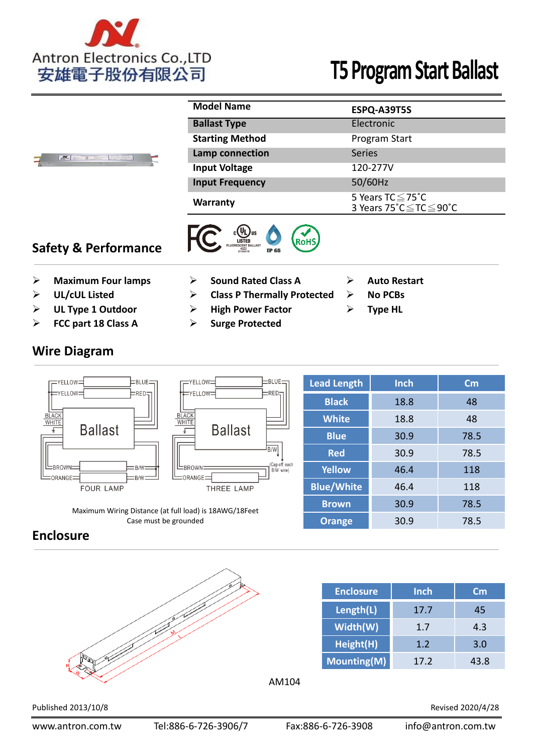

|  | <b>Model Name</b>      | ESPQ-A39T5S                                               |  |  |  |  |
|--|------------------------|-----------------------------------------------------------|--|--|--|--|
|  | <b>Ballast Type</b>    | Electronic                                                |  |  |  |  |
|  | <b>Starting Method</b> | Program Start                                             |  |  |  |  |
|  | Lamp connection        | Series                                                    |  |  |  |  |
|  | <b>Input Voltage</b>   | 120-277V                                                  |  |  |  |  |
|  | <b>Input Frequency</b> | 50/60Hz                                                   |  |  |  |  |
|  | <b>Warranty</b>        | 5 Years $TC \leq 75^{\circ}C$<br>3 Years 75°C ≤ TC ≤ 90°C |  |  |  |  |





- **Example 3 Maximum Four lamps by Sound Rated Class A Auto Restart**
- 

 $\frac{1}{\sqrt{2}}$ 

- **Example 1 Outdoor COM EXAMP FACTION EXAMPLE EXAMPLE FOR TYPE HL**
- **FCC part 18 Class A Surge Protected**

## **Wire Diagram**



Maximum Wiring Distance (at full load) is 18AWG/18Feet Case must be grounded

| <b>Lead Length</b> | <b>Inch</b> | $\mathsf{Cm}$ |  |  |
|--------------------|-------------|---------------|--|--|
| <b>Black</b>       | 18.8        | 48            |  |  |
| <b>White</b>       | 18.8        | 48            |  |  |
| <b>Blue</b>        | 30.9        | 78.5          |  |  |
| <b>Red</b>         | 30.9        | 78.5          |  |  |
| <b>Yellow</b>      | 46.4        | 118           |  |  |
| <b>Blue/White</b>  | 46.4        | 118           |  |  |
| <b>Brown</b>       | 30.9        | 78.5          |  |  |
| <b>Orange</b>      | 30.9        | 78.5          |  |  |

## **Enclosure**



| <b>Enclosure</b> | Inch | $\mathsf{cm}$ |
|------------------|------|---------------|
| Length(L)        | 17.7 | 45            |
| Width(W)         | 1.7  | 4.3           |
| Height(H)        | 1.2  | 3.0           |
| Mounting(M)      | 17.2 | 43.8          |

AM104

Published 2013/10/8 Revised 2020/4/28

- 
- **UL/cUL Listed Class P Thermally Protected No PCBs**
	-
	-
- 
-